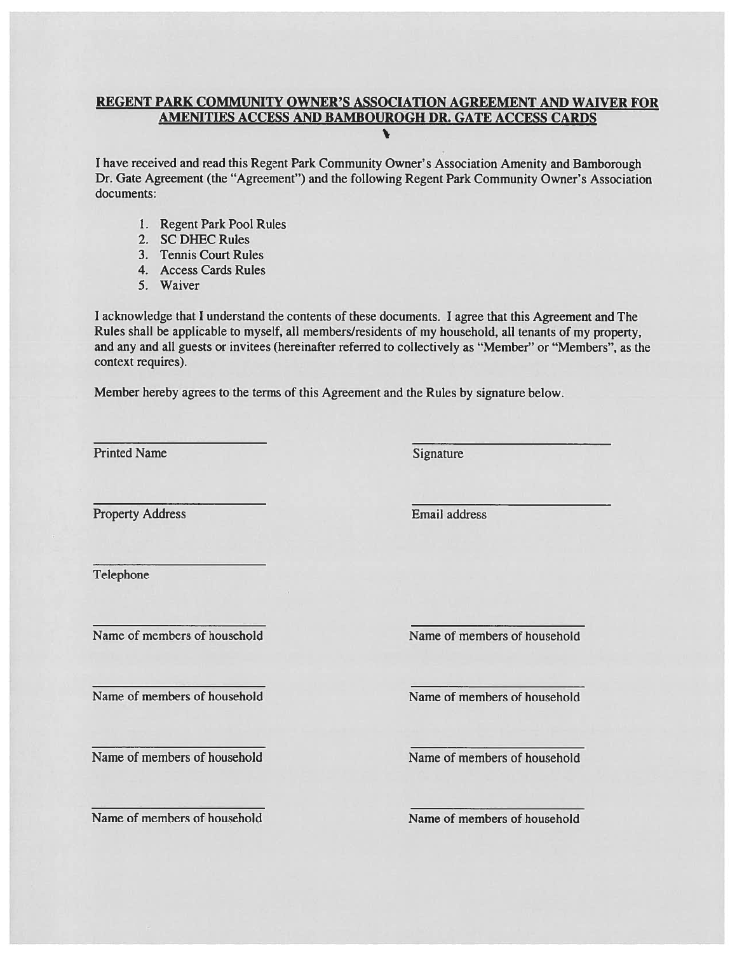# **REGENT PARK COMMUNITY OWNER'S ASSOCIATION AGREEMENT AND WAIVER FOR** AMENITIES ACCESS AND BAMBOUROGH DR. GATE ACCESS CARDS

I have received and read this Regent Park Community Owner's Association Amenity and Bamborough Dr. Gate Agreement (the "Agreement") and the following Regent Park Community Owner's Association documents:

- 1. Regent Park Pool Rules
- 2. SC DHEC Rules
- 3. Tennis Court Rules
- 4. Access Cards Rules
- 5. Waiver

I acknowledge that I understand the contents of these documents. I agree that this Agreement and The Rules shall be applicable to myself, all members/residents of my household, all tenants of my property, and any and all guests or invitees (hereinafter referred to collectively as "Member" or "Members", as the context requires).

Member hereby agrees to the terms of this Agreement and the Rules by signature below.

**Printed Name** 

Signature

**Property Address** 

Email address

Telephone

Name of members of household

Name of members of household

Name of members of household

Name of members of household

Name of members of household

Name of members of household

Name of members of household

Name of members of household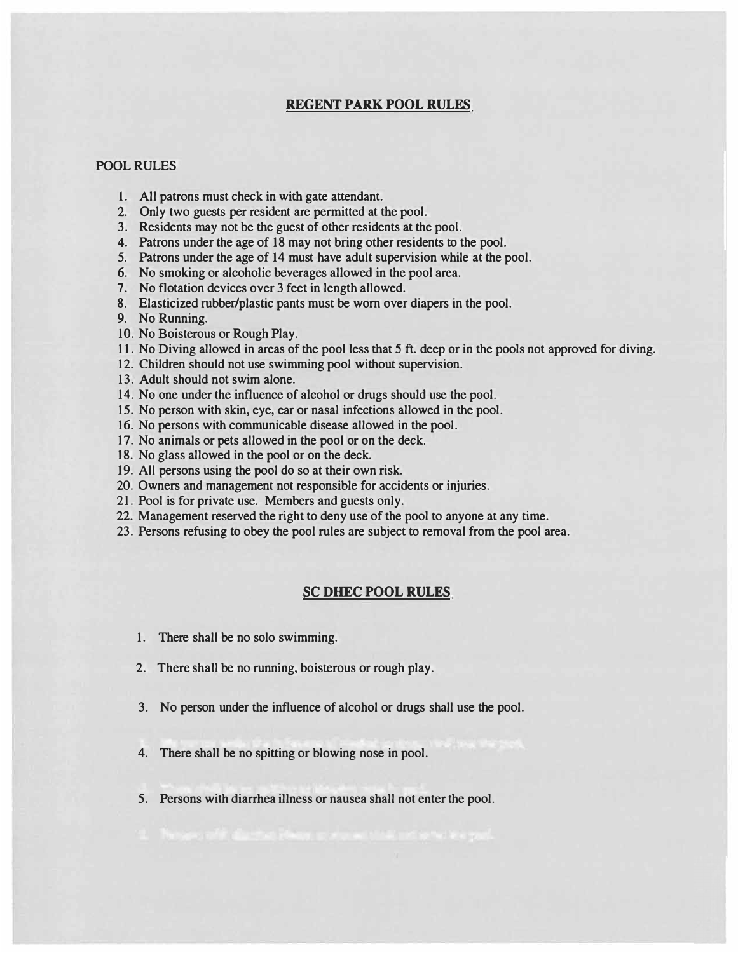## **REGENT PARK POOL RULES**

#### POOL RULES

- 1. All patrons must check in with gate attendant.
- 2. Only two guests per resident are permitted at the pool.
- 3. Residents may not be the guest of other residents at the pool.
- 4. Patrons under the age of 18 may not bring other residents to the pool.
- 5. Patrons under the age of 14 must have adult supervision while at the pool.
- 6. No smoking or alcoholic beverages allowed in the pool area.
- 7. No flotation devices over 3 feet in length allowed.
- 8. Elasticized rubber/plastic pants must be worn over diapers in the pool.
- 9. No Running.
- 10. No Boisterous or Rough Play.
- 11. No Diving allowed in areas of the pool less that *5* ft. deep or in the pools not approved for diving.
- 12. Children should not use swimming pool without supervision.
- 13. Adult should not swim alone.
- 14. No one under the influence of alcohol or drugs should use the pool.
- 15. No person with skin, eye, ear or nasal infections allowed in the pool.
- 16. No persons with communicable disease allowed in the pool.
- 17. No animals or pets allowed in the pool or on the deck.
- 18. No glass allowed in the pool or on the deck.
- 19. All persons using the pool do so at their own risk.
- 20. Owners and management not responsible for accidents or injuries.
- 21. Pool is for private use. Members and guests only.
- 22. Management reserved the right to deny use of the pool to anyone at any time.
- 23. Persons refusing to obey the pool rules are subject to removal from the pool area.

#### **SC DHEC POOL RULES**

- 1. There shall be no solo swimming.
- 2. There shall be no running, boisterous or rough play.
- 3. No person under the influence of alcohol or drugs shall use the pool.
- 4. There shall be no spitting or blowing nose in pool.
- 5. Persons with diarrhea illness or nausea shall not enter the pool.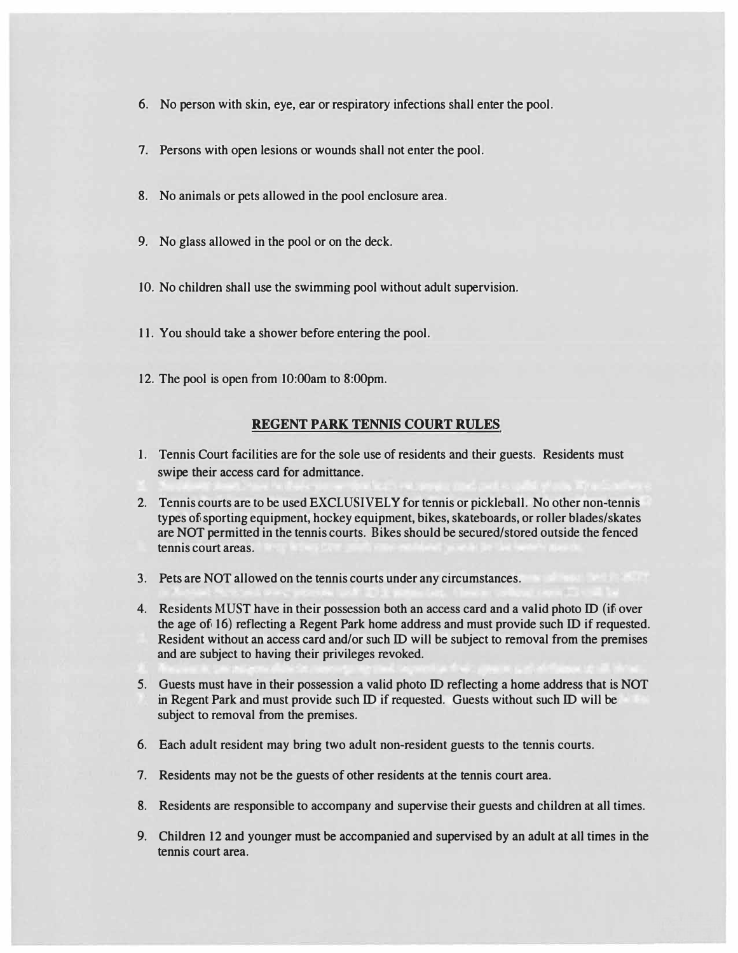- **6. No person with skin, eye, ear or respiratory infections shall enter the pool.**
- **7. Persons with open lesions or wounds shall not enter the pool.**
- **8. No animals or pets allowed in the pool enclosure area.**
- **9. No glass allowed in the pool or on the deck.**
- **10. No children shall use the swimming pool without adult supervision.**
- **11. You should take a shower before entering the pool.**
- **12. The pool is open from 10:00am to 8:00pm.**

## **REGENT PARK TENNIS COURT RULES**

- **1. Tennis Court facilities are for the sole use of residents and their guests. Residents must swipe their access card for admittance.**
- **2. Tennis courts are to be used EXCLUSIVELY for tennis or pickleball. No other non-tennis types of sporting equipment, hockey equipment, bikes, skateboards, or roller blades/skates are NOT permitted in the tennis courts. Bikes should be secured/stored outside the fenced tennis court areas.**
- **3. Pets are NOT allowed on the tennis courts under any circumstances.**
- **4. Residents MUST have in their possession both an access card and a valid photo ID (if over the age of 16) reflecting a Regent Park home address and must provide such ID if requested. Resident without an access card and/or such ID will be subject to removal from the premises and are subject to having their privileges revoked.**
- **5. Guests must have in their possession a valid photo ID reflecting a home address that is NOT in Regent Park and must provide such ID if requested. Guests without such ID will be subject to removal from the premises.**
- **6. Each adult resident may bring two adult non-resident guests to the tennis courts.**
- **7. Residents may not be the guests of other residents at the tennis court area.**
- **8. Residents are responsible to accompany and supervise their guests and children at all times.**
- **9. Children 12 and younger must be accompanied and supervised by an adult at all times in the tennis court area.**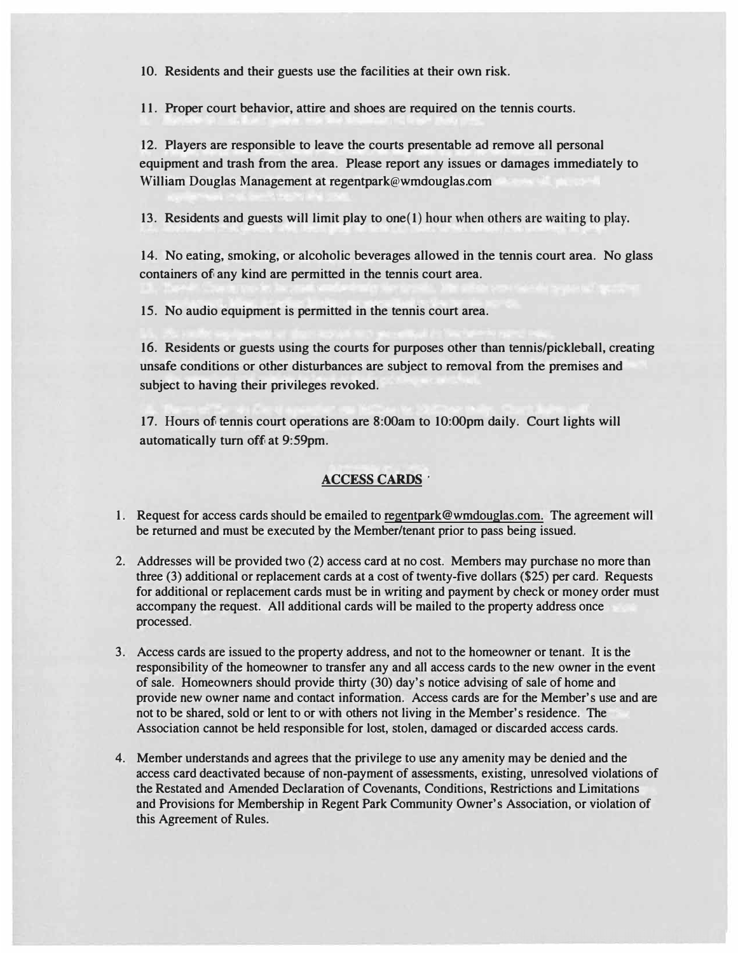**10. Residents and their guests use the facilities at their own risk.**

**11. Proper court behavior, attire and shoes are required on the tennis courts.**

**12. Players are responsible to leave the courts presentable ad remove all personal equipment and trash from the area. Please report any issues or damages immediately to William Douglas Management at regentpark@wmdouglas.com**

**13. Residents and guests will limit play to one(1) hour when others are waiting to play.**

**14. No eating, smoking, or alcoholic beverages allowed in the tennis court area. No glass containers of any kind are permitted in the tennis court area.**

**15. No audio equipment is permitted in the tennis court area.**

**16. Residents or guests using the courts for purposes other than tennis/pickleball, creating unsafe conditions or other disturbances are subject to removal from the premises and subject to having their privileges revoked.**

**17. Hours of tennis court operations are 8:00am to 10:00pm daily. Court lights will automatically turn off at 9:59pm.**

# **ACCESS CARDS**

- **1. Request for access cards should be emailed to regentpark@wmdouglas.com. The agreement will be returned and must be executed by the Member/tenant prior to pass being issued.**
- **2. Addresses will be provided two (2) access card at no cost. Members may purchase no more than three (3) additional or replacement cards at a cost of twenty-five dollars (\$25) per card. Requests for additional or replacement cards must be in writing and payment by check or money order must accompany the request. All additional cards will be mailed to the property address once processed.**
- **3. Access cards are issued to the property address, and not to the homeowner or tenant. It is the responsibility of the homeowner to transfer any and all access cards to the new owner in the event of sale. Homeowners should provide thirty (30) day's notice advising of sale of home and provide new owner name and contact information. Access cards are for the Member's use and are not to be shared, sold or lent to or with others not living in the Member's residence. The Association cannot be held responsible for lost, stolen, damaged or discarded access cards.**
- **4. Member understands and agrees that the privilege to use any amenity may be denied and the access card deactivated because of non-payment of assessments, existing, unresolved violations of the Restated and Amended Declaration of Covenants, Conditions, Restrictions and Limitations and Provisions for Membership in Regent Park Community Owner's Association, or violation of this Agreement of Rules.**